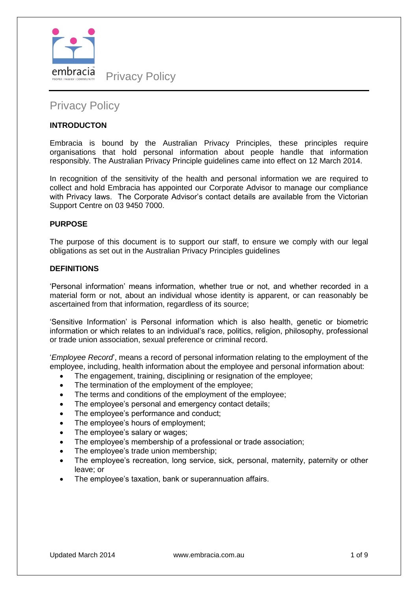

# Privacy Policy

# **INTRODUCTON**

Embracia is bound by the Australian Privacy Principles, these principles require organisations that hold personal information about people handle that information responsibly. The Australian Privacy Principle guidelines came into effect on 12 March 2014.

In recognition of the sensitivity of the health and personal information we are required to collect and hold Embracia has appointed our Corporate Advisor to manage our compliance with Privacy laws. The Corporate Advisor's contact details are available from the Victorian Support Centre on 03 9450 7000.

## **PURPOSE**

The purpose of this document is to support our staff, to ensure we comply with our legal obligations as set out in the Australian Privacy Principles guidelines

## **DEFINITIONS**

'Personal information' means information, whether true or not, and whether recorded in a material form or not, about an individual whose identity is apparent, or can reasonably be ascertained from that information, regardless of its source;

'Sensitive Information' is Personal information which is also health, genetic or biometric information or which relates to an individual's race, politics, religion, philosophy, professional or trade union association, sexual preference or criminal record.

'*Employee Record*', means a record of personal information relating to the employment of the employee, including, health information about the employee and personal information about:

- The engagement, training, disciplining or resignation of the employee;
- The termination of the employment of the employee;
- The terms and conditions of the employment of the employee;
- The employee's personal and emergency contact details;
- The employee's performance and conduct;
- The employee's hours of employment;
- The employee's salary or wages;
- The employee's membership of a professional or trade association;
- The employee's trade union membership;
- The employee's recreation, long service, sick, personal, maternity, paternity or other leave; or
- The employee's taxation, bank or superannuation affairs.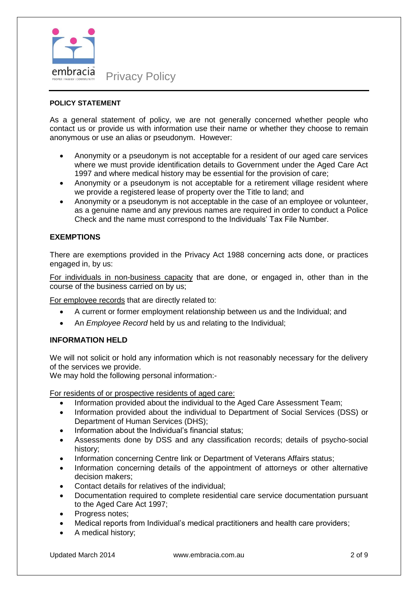

## **POLICY STATEMENT**

As a general statement of policy, we are not generally concerned whether people who contact us or provide us with information use their name or whether they choose to remain anonymous or use an alias or pseudonym. However:

- Anonymity or a pseudonym is not acceptable for a resident of our aged care services where we must provide identification details to Government under the Aged Care Act 1997 and where medical history may be essential for the provision of care;
- Anonymity or a pseudonym is not acceptable for a retirement village resident where we provide a registered lease of property over the Title to land; and
- Anonymity or a pseudonym is not acceptable in the case of an employee or volunteer, as a genuine name and any previous names are required in order to conduct a Police Check and the name must correspond to the Individuals' Tax File Number.

## **EXEMPTIONS**

There are exemptions provided in the Privacy Act 1988 concerning acts done, or practices engaged in, by us:

For individuals in non-business capacity that are done, or engaged in, other than in the course of the business carried on by us;

For employee records that are directly related to:

- A current or former employment relationship between us and the Individual; and
- An *Employee Record* held by us and relating to the Individual;

## **INFORMATION HELD**

We will not solicit or hold any information which is not reasonably necessary for the delivery of the services we provide.

We may hold the following personal information:-

For residents of or prospective residents of aged care:

- Information provided about the individual to the Aged Care Assessment Team;
- Information provided about the individual to Department of Social Services (DSS) or Department of Human Services (DHS);
- Information about the Individual's financial status;
- Assessments done by DSS and any classification records; details of psycho-social history;
- Information concerning Centre link or Department of Veterans Affairs status;
- Information concerning details of the appointment of attorneys or other alternative decision makers;
- Contact details for relatives of the individual;
- Documentation required to complete residential care service documentation pursuant to the Aged Care Act 1997;
- Progress notes;
- Medical reports from Individual's medical practitioners and health care providers;
- A medical history;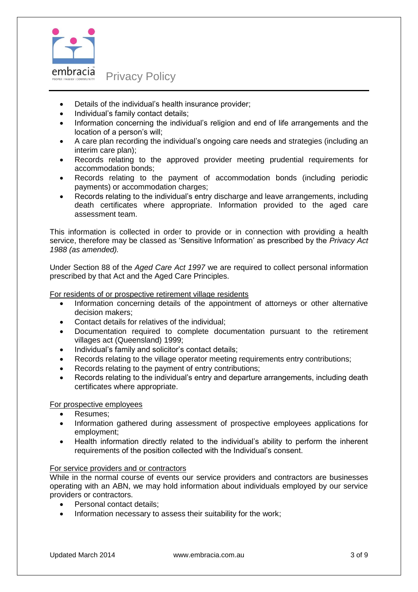

# Details of the individual's health insurance provider;

- Individual's family contact details;
- Information concerning the individual's religion and end of life arrangements and the location of a person's will;
- A care plan recording the individual's ongoing care needs and strategies (including an interim care plan);
- Records relating to the approved provider meeting prudential requirements for accommodation bonds;
- Records relating to the payment of accommodation bonds (including periodic payments) or accommodation charges;
- Records relating to the individual's entry discharge and leave arrangements, including death certificates where appropriate. Information provided to the aged care assessment team.

This information is collected in order to provide or in connection with providing a health service, therefore may be classed as 'Sensitive Information' as prescribed by the *Privacy Act 1988 (as amended).* 

Under Section 88 of the *Aged Care Act 1997* we are required to collect personal information prescribed by that Act and the Aged Care Principles.

For residents of or prospective retirement village residents

- Information concerning details of the appointment of attorneys or other alternative decision makers;
- Contact details for relatives of the individual;
- Documentation required to complete documentation pursuant to the retirement villages act (Queensland) 1999;
- Individual's family and solicitor's contact details;
- Records relating to the village operator meeting requirements entry contributions;
- Records relating to the payment of entry contributions;
- Records relating to the individual's entry and departure arrangements, including death certificates where appropriate.

#### For prospective employees

- Resumes;
- Information gathered during assessment of prospective employees applications for employment;
- Health information directly related to the individual's ability to perform the inherent requirements of the position collected with the Individual's consent.

#### For service providers and or contractors

While in the normal course of events our service providers and contractors are businesses operating with an ABN, we may hold information about individuals employed by our service providers or contractors.

- Personal contact details;
- Information necessary to assess their suitability for the work;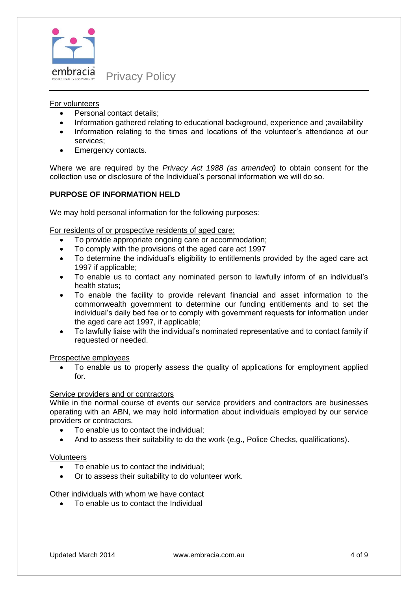

## For volunteers

- Personal contact details:
- Information gathered relating to educational background, experience and ;availability
- Information relating to the times and locations of the volunteer's attendance at our services;
- Emergency contacts.

Where we are required by the *Privacy Act 1988 (as amended)* to obtain consent for the collection use or disclosure of the Individual's personal information we will do so.

# **PURPOSE OF INFORMATION HELD**

We may hold personal information for the following purposes:

For residents of or prospective residents of aged care:

- To provide appropriate ongoing care or accommodation;
- To comply with the provisions of the aged care act 1997
- To determine the individual's eligibility to entitlements provided by the aged care act 1997 if applicable;
- To enable us to contact any nominated person to lawfully inform of an individual's health status;
- To enable the facility to provide relevant financial and asset information to the commonwealth government to determine our funding entitlements and to set the individual's daily bed fee or to comply with government requests for information under the aged care act 1997, if applicable;
- To lawfully liaise with the individual's nominated representative and to contact family if requested or needed.

Prospective employees

 To enable us to properly assess the quality of applications for employment applied for.

#### Service providers and or contractors

While in the normal course of events our service providers and contractors are businesses operating with an ABN, we may hold information about individuals employed by our service providers or contractors.

- To enable us to contact the individual;
- And to assess their suitability to do the work (e.g., Police Checks, qualifications).

#### Volunteers

- To enable us to contact the individual;
- Or to assess their suitability to do volunteer work.

## Other individuals with whom we have contact

To enable us to contact the Individual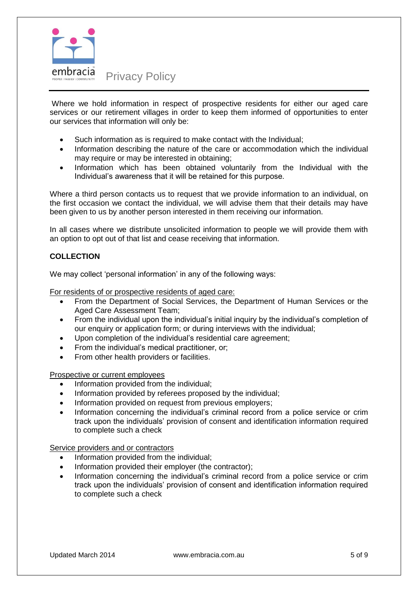

Where we hold information in respect of prospective residents for either our aged care services or our retirement villages in order to keep them informed of opportunities to enter our services that information will only be:

- Such information as is required to make contact with the Individual;
- Information describing the nature of the care or accommodation which the individual may require or may be interested in obtaining;
- Information which has been obtained voluntarily from the Individual with the Individual's awareness that it will be retained for this purpose.

Where a third person contacts us to request that we provide information to an individual, on the first occasion we contact the individual, we will advise them that their details may have been given to us by another person interested in them receiving our information.

In all cases where we distribute unsolicited information to people we will provide them with an option to opt out of that list and cease receiving that information.

# **COLLECTION**

We may collect 'personal information' in any of the following ways:

For residents of or prospective residents of aged care:

- From the Department of Social Services, the Department of Human Services or the Aged Care Assessment Team;
- From the individual upon the individual's initial inquiry by the individual's completion of our enquiry or application form; or during interviews with the individual;
- Upon completion of the individual's residential care agreement;
- From the individual's medical practitioner, or;
- From other health providers or facilities.

Prospective or current employees

- Information provided from the individual;
- Information provided by referees proposed by the individual;
- Information provided on request from previous employers;
- Information concerning the individual's criminal record from a police service or crim track upon the individuals' provision of consent and identification information required to complete such a check

Service providers and or contractors

- Information provided from the individual;
- Information provided their employer (the contractor);
- Information concerning the individual's criminal record from a police service or crim track upon the individuals' provision of consent and identification information required to complete such a check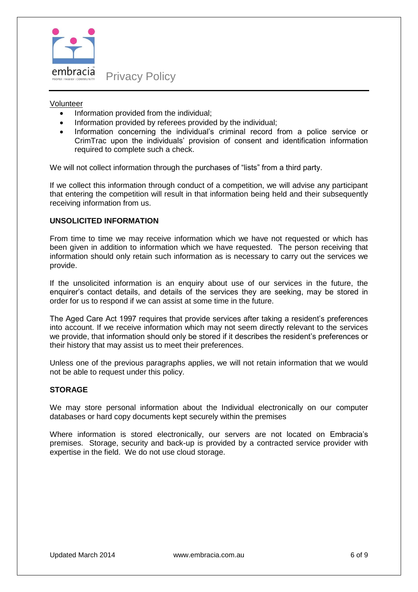

Privacy Policy

## Volunteer

- Information provided from the individual;
- Information provided by referees provided by the individual;
- Information concerning the individual's criminal record from a police service or CrimTrac upon the individuals' provision of consent and identification information required to complete such a check.

We will not collect information through the purchases of "lists" from a third party.

If we collect this information through conduct of a competition, we will advise any participant that entering the competition will result in that information being held and their subsequently receiving information from us.

## **UNSOLICITED INFORMATION**

From time to time we may receive information which we have not requested or which has been given in addition to information which we have requested. The person receiving that information should only retain such information as is necessary to carry out the services we provide.

If the unsolicited information is an enquiry about use of our services in the future, the enquirer's contact details, and details of the services they are seeking, may be stored in order for us to respond if we can assist at some time in the future.

The Aged Care Act 1997 requires that provide services after taking a resident's preferences into account. If we receive information which may not seem directly relevant to the services we provide, that information should only be stored if it describes the resident's preferences or their history that may assist us to meet their preferences.

Unless one of the previous paragraphs applies, we will not retain information that we would not be able to request under this policy.

# **STORAGE**

We may store personal information about the Individual electronically on our computer databases or hard copy documents kept securely within the premises

Where information is stored electronically, our servers are not located on Embracia's premises. Storage, security and back-up is provided by a contracted service provider with expertise in the field. We do not use cloud storage.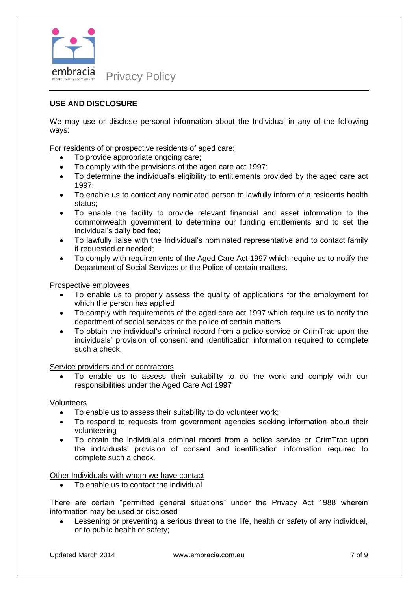

# **USE AND DISCLOSURE**

We may use or disclose personal information about the Individual in any of the following ways:

For residents of or prospective residents of aged care:

- To provide appropriate ongoing care;
- To comply with the provisions of the aged care act 1997;
- To determine the individual's eligibility to entitlements provided by the aged care act 1997;
- To enable us to contact any nominated person to lawfully inform of a residents health status;
- To enable the facility to provide relevant financial and asset information to the commonwealth government to determine our funding entitlements and to set the individual's daily bed fee;
- To lawfully liaise with the Individual's nominated representative and to contact family if requested or needed;
- To comply with requirements of the Aged Care Act 1997 which require us to notify the Department of Social Services or the Police of certain matters.

#### Prospective employees

- To enable us to properly assess the quality of applications for the employment for which the person has applied
- To comply with requirements of the aged care act 1997 which require us to notify the department of social services or the police of certain matters
- To obtain the individual's criminal record from a police service or CrimTrac upon the individuals' provision of consent and identification information required to complete such a check.

#### Service providers and or contractors

 To enable us to assess their suitability to do the work and comply with our responsibilities under the Aged Care Act 1997

#### **Volunteers**

- To enable us to assess their suitability to do volunteer work;
- To respond to requests from government agencies seeking information about their volunteering
- To obtain the individual's criminal record from a police service or CrimTrac upon the individuals' provision of consent and identification information required to complete such a check.

Other Individuals with whom we have contact

To enable us to contact the individual

There are certain "permitted general situations" under the Privacy Act 1988 wherein information may be used or disclosed

 Lessening or preventing a serious threat to the life, health or safety of any individual, or to public health or safety;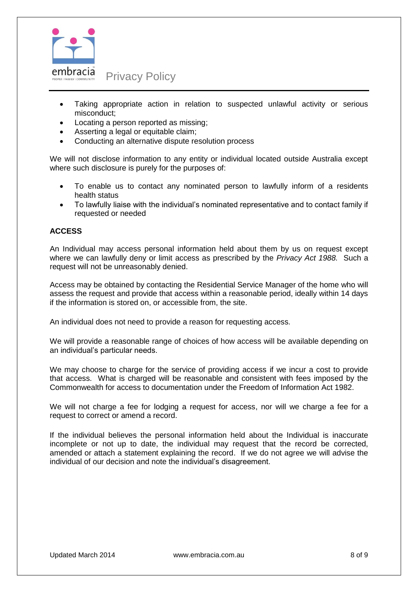

- Taking appropriate action in relation to suspected unlawful activity or serious misconduct;
- Locating a person reported as missing;
- Asserting a legal or equitable claim;
- Conducting an alternative dispute resolution process

We will not disclose information to any entity or individual located outside Australia except where such disclosure is purely for the purposes of:

- To enable us to contact any nominated person to lawfully inform of a residents health status
- To lawfully liaise with the individual's nominated representative and to contact family if requested or needed

## **ACCESS**

An Individual may access personal information held about them by us on request except where we can lawfully deny or limit access as prescribed by the *Privacy Act 1988.* Such a request will not be unreasonably denied.

Access may be obtained by contacting the Residential Service Manager of the home who will assess the request and provide that access within a reasonable period, ideally within 14 days if the information is stored on, or accessible from, the site.

An individual does not need to provide a reason for requesting access.

We will provide a reasonable range of choices of how access will be available depending on an individual's particular needs.

We may choose to charge for the service of providing access if we incur a cost to provide that access. What is charged will be reasonable and consistent with fees imposed by the Commonwealth for access to documentation under the Freedom of Information Act 1982.

We will not charge a fee for lodging a request for access, nor will we charge a fee for a request to correct or amend a record.

If the individual believes the personal information held about the Individual is inaccurate incomplete or not up to date, the individual may request that the record be corrected, amended or attach a statement explaining the record. If we do not agree we will advise the individual of our decision and note the individual's disagreement.